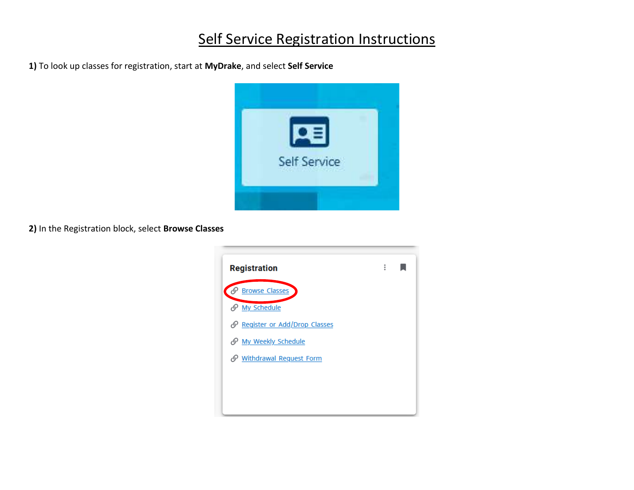## Self Service Registration Instructions

**1)** To look up classes for registration, start at **MyDrake**, and select **Self Service**



**2)** In the Registration block, select **Browse Classes**

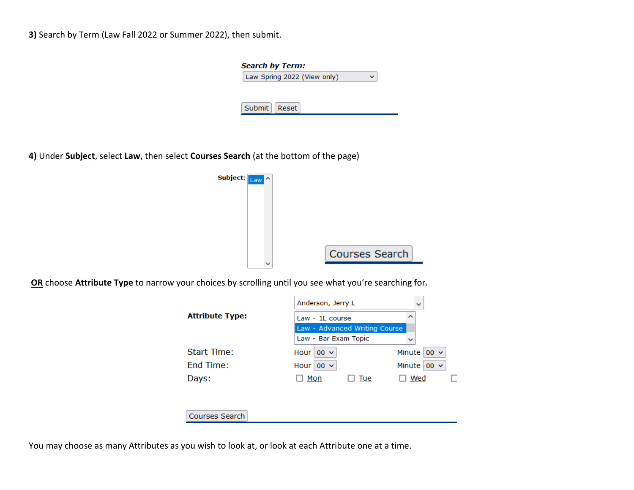**3)** Search by Term (Law Fall 2022 or Summer 2022), then submit.

| <b>Search by Term:</b>      |  |
|-----------------------------|--|
| Law Spring 2022 (View only) |  |
|                             |  |
|                             |  |
| Submit   Reset              |  |
|                             |  |

**4)** Under **Subject**, select **Law**, then select **Courses Search** (at the bottom of the page)



**OR** choose **Attribute Type** to narrow your choices by scrolling until you see what you're searching for.



You may choose as many Attributes as you wish to look at, or look at each Attribute one at a time.